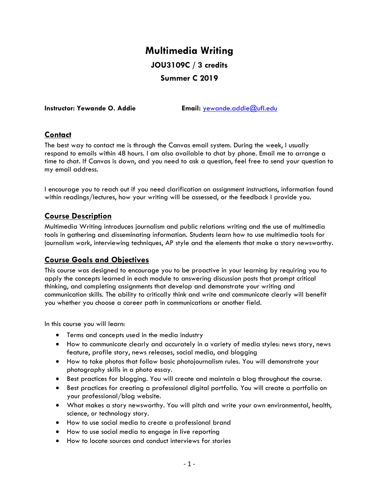# **Multimedia Writing JOU3109C / 3 credits Summer C 2019**

**Instructor: Yewande O. Addie Email:** [yewande.addie@ufl.edu](mailto:yewande.addie@ufl.edu)

#### **Contact**

The best way to contact me is through the Canvas email system. During the week, I usually respond to emails within 48 hours. I am also available to chat by phone. Email me to arrange a time to chat. If Canvas is down, and you need to ask a question, feel free to send your question to my email address.

I encourage you to reach out if you need clarification on assignment instructions, information found within readings/lectures, how your writing will be assessed, or the feedback I provide you.

#### **Course Description**

Multimedia Writing introduces journalism and public relations writing and the use of multimedia tools in gathering and disseminating information. Students learn how to use multimedia tools for journalism work, interviewing techniques, AP style and the elements that make a story newsworthy.

# **Course Goals and Objectives**

This course was designed to encourage you to be proactive in your learning by requiring you to apply the concepts learned in each module to answering discussion posts that prompt critical thinking, and completing assignments that develop and demonstrate your writing and communication skills. The ability to critically think and write and communicate clearly will benefit you whether you choose a career path in communications or another field.

In this course you will learn:

- Terms and concepts used in the media industry
- How to communicate clearly and accurately in a variety of media styles: news story, news feature, profile story, news releases, social media, and blogging
- How to take photos that follow basic photojournalism rules. You will demonstrate your photography skills in a photo essay.
- Best practices for blogging. You will create and maintain a blog throughout the course.
- Best practices for creating a professional digital portfolio. You will create a portfolio on your professional/blog website.
- What makes a story newsworthy. You will pitch and write your own environmental, health, science, or technology story.
- How to use social media to create a professional brand
- How to use social media to engage in live reporting
- How to locate sources and conduct interviews for stories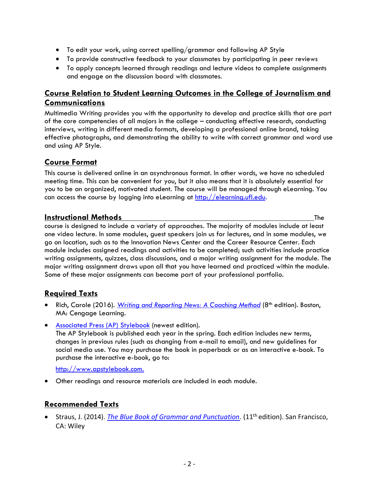- To edit your work, using correct spelling/grammar and following AP Style
- To provide constructive feedback to your classmates by participating in peer reviews
- To apply concepts learned through readings and lecture videos to complete assignments and engage on the discussion board with classmates.

# **Course Relation to Student Learning Outcomes in the College of Journalism and Communications**

Multimedia Writing provides you with the opportunity to develop and practice skills that are part of the core competencies of all majors in the college – conducting effective research, conducting interviews, writing in different media formats, developing a professional online brand, taking effective photographs, and demonstrating the ability to write with correct grammar and word use and using AP Style.

#### **Course Format**

This course is delivered online in an asynchronous format. In other words, we have no scheduled meeting time. This can be convenient for you, but it also means that it is absolutely essential for you to be an organized, motivated student. The course will be managed through eLearning. You can access the course by logging into eLearning at [http://elearning.ufl.edu.](http://elearning.ufl.edu/)

#### **Instructional Methods** The

course is designed to include a variety of approaches. The majority of modules include at least one video lecture. In some modules, guest speakers join us for lectures, and in some modules, we go on location, such as to the Innovation News Center and the Career Resource Center. Each module includes assigned readings and activities to be completed; such activities include practice writing assignments, quizzes, class discussions, and a major writing assignment for the module. The major writing assignment draws upon all that you have learned and practiced within the module. Some of these major assignments can become part of your professional portfolio.

# **Required Texts**

- Rich, Carole (2016). *[Writing and Reporting News: A Coaching Method](https://www.cengage.com/c/writing-and-reporting-news-a-coaching-method-8e-rich)* (8<sup>th</sup> edition). Boston, MA: Cengage Learning.
- [Associated Press \(AP\) Stylebook](https://www.apstylebook.com/) (newest edition).

The AP Stylebook is published each year in the spring. Each edition includes new terms, changes in previous rules (such as changing from e-mail to email), and new guidelines for social media use. You may purchase the book in paperback or as an interactive e-book. To purchase the interactive e-book, go to:

[http://www.apstylebook.com.](http://www.apstylebook.com/)

• Other readings and resource materials are included in each module.

# **Recommended Texts**

• Straus, J. (2014). *The Blue Book of Grammar and Punctuation*. (11<sup>th</sup> edition). San Francisco, CA: Wiley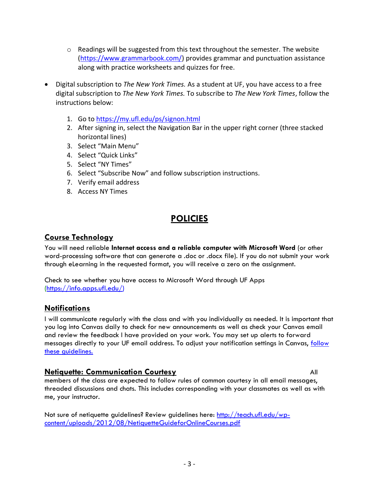- $\circ$  Readings will be suggested from this text throughout the semester. The website [\(https://www.grammarbook.com/\)](https://www.grammarbook.com/) provides grammar and punctuation assistance along with practice worksheets and quizzes for free.
- Digital subscription to *The New York Times.* As a student at UF, you have access to a free digital subscription to *The New York Times.* To subscribe to *The New York Times*, follow the instructions below:
	- 1. Go to<https://my.ufl.edu/ps/signon.html>
	- 2. After signing in, select the Navigation Bar in the upper right corner (three stacked horizontal lines)
	- 3. Select "Main Menu"
	- 4. Select "Quick Links"
	- 5. Select "NY Times"
	- 6. Select "Subscribe Now" and follow subscription instructions.
	- 7. Verify email address
	- 8. Access NY Times

# **POLICIES**

#### **Course Technology**

You will need reliable **Internet access and a reliable computer with Microsoft Word** (or other word-processing software that can generate a .doc or .docx file). If you do not submit your work through eLearning in the requested format, you will receive a zero on the assignment.

Check to see whether you have access to Microsoft Word through UF Apps [\(https://info.apps.ufl.edu/\)](https://info.apps.ufl.edu/)

#### **Notifications**

I will communicate regularly with the class and with you individually as needed. It is important that you log into Canvas daily to check for new announcements as well as check your Canvas email and review the feedback I have provided on your work. You may set up alerts to forward messages directly to your UF email address. To adjust your notification settings in Canvas, follow [these guidelines.](https://community.canvaslms.com/docs/DOC-10624)

#### **Netiquette: Communication Courtesy** All

members of the class are expected to follow rules of common courtesy in all email messages, threaded discussions and chats. This includes corresponding with your classmates as well as with me, your instructor.

Not sure of netiquette guidelines? Review guidelines here: [http://teach.ufl.edu/wp](http://teach.ufl.edu/wp-content/uploads/2012/08/NetiquetteGuideforOnlineCourses.pdf)[content/uploads/2012/08/NetiquetteGuideforOnlineCourses.pdf](http://teach.ufl.edu/wp-content/uploads/2012/08/NetiquetteGuideforOnlineCourses.pdf)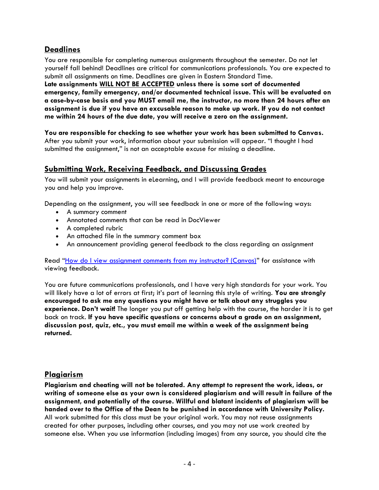#### **Deadlines**

You are responsible for completing numerous assignments throughout the semester. Do not let yourself fall behind! Deadlines are critical for communications professionals. You are expected to submit all assignments on time. Deadlines are given in Eastern Standard Time. **Late assignments WILL NOT BE ACCEPTED unless there is some sort of documented emergency, family emergency, and/or documented technical issue. This will be evaluated on a case-by-case basis and you MUST email me, the instructor, no more than 24 hours after an assignment is due if you have an excusable reason to make up work. If you do not contact me within 24 hours of the due date, you will receive a zero on the assignment.** 

**You are responsible for checking to see whether your work has been submitted to Canvas.** After you submit your work, information about your submission will appear. "I thought I had submitted the assignment," is not an acceptable excuse for missing a deadline.

#### **Submitting Work, Receiving Feedback, and Discussing Grades**

You will submit your assignments in eLearning, and I will provide feedback meant to encourage you and help you improve.

Depending on the assignment, you will see feedback in one or more of the following ways:

- A summary comment
- Annotated comments that can be read in DocViewer
- A completed rubric
- An attached file in the summary comment box
- An announcement providing general feedback to the class regarding an assignment

Read "[How do I view assignment comments from my instructor? \(Canvas\)](https://community.canvaslms.com/docs/DOC-10666-421254359)" for assistance with viewing feedback.

You are future communications professionals, and I have very high standards for your work. You will likely have a lot of errors at first; it's part of learning this style of writing. **You are strongly encouraged to ask me any questions you might have or talk about any struggles you experience. Don't wait!** The longer you put off getting help with the course, the harder it is to get back on track. **If you have specific questions or concerns about a grade on an assignment, discussion post, quiz, etc., you must email me within a week of the assignment being returned.**

#### **Plagiarism**

**Plagiarism and cheating will not be tolerated. Any attempt to represent the work, ideas, or writing of someone else as your own is considered plagiarism and will result in failure of the assignment, and potentially of the course. Willful and blatant incidents of plagiarism will be handed over to the Office of the Dean to be punished in accordance with University Policy.** All work submitted for this class must be your original work. You may not reuse assignments created for other purposes, including other courses, and you may not use work created by someone else. When you use information (including images) from any source, you should cite the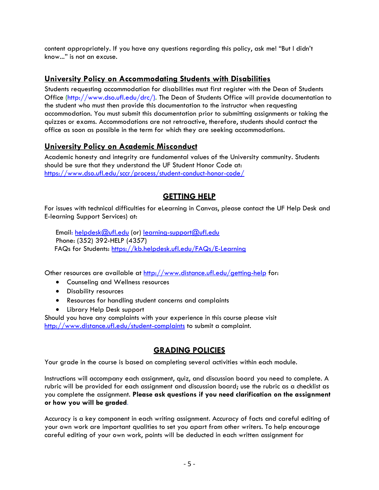content appropriately. If you have any questions regarding this policy, ask me! "But I didn't know..." is not an excuse.

#### **University Policy on Accommodating Students with Disabilities**

Students requesting accommodation for disabilities must first register with the Dean of Students Office [\(http://www.dso.ufl.edu/drc/\)](http://www.dso.ufl.edu/drc/). The Dean of Students Office will provide documentation to the student who must then provide this documentation to the instructor when requesting accommodation. You must submit this documentation prior to submitting assignments or taking the quizzes or exams. Accommodations are not retroactive, therefore, students should contact the office as soon as possible in the term for which they are seeking accommodations.

#### **University Policy on Academic Misconduct**

Academic honesty and integrity are fundamental values of the University community. Students should be sure that they understand the UF Student Honor Code at: <https://www.dso.ufl.edu/sccr/process/student-conduct-honor-code/>

# **GETTING HELP**

For issues with technical difficulties for eLearning in Canvas, please contact the UF Help Desk and E-learning Support Services) at:

Email: [helpdesk@ufl.edu](mailto:helpdesk@ufl.edu) (or) [learning-support@ufl.edu](mailto:learning-support@ufl.edu) Phone: (352) 392-HELP (4357) FAQs for Students:<https://kb.helpdesk.ufl.edu/FAQs/E-Learning>

Other resources are available at<http://www.distance.ufl.edu/getting-help> for:

- Counseling and Wellness resources
- Disability resources
- Resources for handling student concerns and complaints
- Library Help Desk support

Should you have any complaints with your experience in this course please visit <http://www.distance.ufl.edu/student-complaints> to submit a complaint.

#### **GRADING POLICIES**

Your grade in the course is based on completing several activities within each module.

Instructions will accompany each assignment, quiz, and discussion board you need to complete. A rubric will be provided for each assignment and discussion board; use the rubric as a checklist as you complete the assignment. **Please ask questions if you need clarification on the assignment or how you will be graded**.

Accuracy is a key component in each writing assignment. Accuracy of facts and careful editing of your own work are important qualities to set you apart from other writers. To help encourage careful editing of your own work, points will be deducted in each written assignment for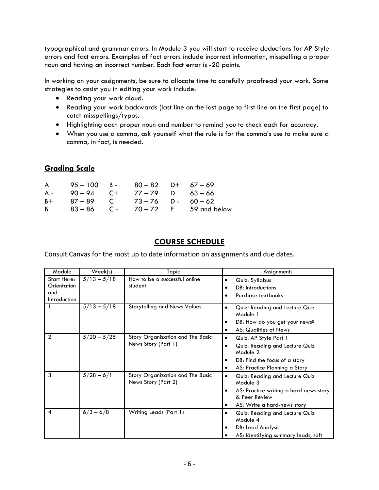typographical and grammar errors. In Module 3 you will start to receive deductions for AP Style errors and fact errors. Examples of fact errors include incorrect information, misspelling a proper noun and having an incorrect number. Each fact error is -20 points.

In working on your assignments, be sure to allocate time to carefully proofread your work. Some strategies to assist you in editing your work include:

- Reading your work aloud.
- Reading your work backwards (last line on the last page to first line on the first page) to catch misspellings/typos.
- Highlighting each proper noun and number to remind you to check each for accuracy.
- When you use a comma, ask yourself what the rule is for the comma's use to make sure a comma, in fact, is needed.

# **Grading Scale**

| $\mathsf{A}$   | $95 - 100$ B - $80 - 82$ D + $67 - 69$ |                  |                                        |
|----------------|----------------------------------------|------------------|----------------------------------------|
| A -            | $90 - 94$ C+ 77-79 D 63-66             |                  |                                        |
| B+             | 87 – 89                                | C 73-76 D- 60-62 |                                        |
| B <sub>a</sub> |                                        |                  | $83 - 86$ C - $70 - 72$ E 59 and below |

# **COURSE SCHEDULE**

Consult Canvas for the most up to date information on assignments and due dates.

| Module                                            | Week(s)       | Topic                                                   | Assignments                                                                                                                                        |  |  |
|---------------------------------------------------|---------------|---------------------------------------------------------|----------------------------------------------------------------------------------------------------------------------------------------------------|--|--|
| Start Here:<br>Orientation<br>and<br>Introduction | $5/13 - 5/18$ | How to be a successful online<br>student                | Quiz: Syllabus<br>$\bullet$<br>DB: Introductions<br>Purchase textbooks                                                                             |  |  |
|                                                   | $5/13 - 5/18$ | <b>Storytelling and News Values</b>                     | Quiz: Reading and Lecture Quiz<br>$\bullet$<br>Module 1<br>DB: How do you get your news?<br><b>AS: Qualities of News</b>                           |  |  |
| $\overline{2}$                                    | $5/20 - 5/25$ | Story Organization and The Basic<br>News Story (Part 1) | Quiz: AP Style Part 1<br>$\bullet$<br>Quiz: Reading and Lecture Quiz<br>Module 2<br>DB: Find the focus of a story<br>AS: Practice Planning a Story |  |  |
| 3                                                 | $5/28 - 6/1$  | Story Organization and The Basic<br>News Story (Part 2) | Quiz: Reading and Lecture Quiz<br>Module 3<br>AS: Practice writing a hard-news story<br>& Peer Review<br>AS: Write a hard-news story               |  |  |
| 4                                                 | $6/3 - 6/8$   | <b>Writing Leads (Part 1)</b>                           | Quiz: Reading and Lecture Quiz<br>Module 4<br>DB: Lead Analysis<br>AS: Identifying summary leads, soft                                             |  |  |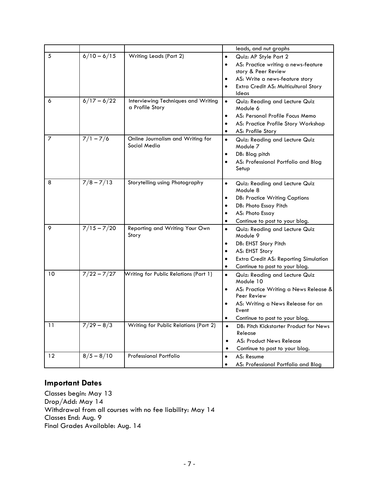|                |               |                                                        | leads, and nut graphs                                                   |
|----------------|---------------|--------------------------------------------------------|-------------------------------------------------------------------------|
| 5              | $6/10 - 6/15$ | <b>Writing Leads (Part 2)</b>                          | Quiz: AP Style Part 2<br>$\bullet$                                      |
|                |               |                                                        | AS: Practice writing a news-feature<br>$\bullet$<br>story & Peer Review |
|                |               |                                                        | AS: Write a news-feature story                                          |
|                |               |                                                        | Extra Credit AS: Multicultural Story<br>$\bullet$                       |
|                |               |                                                        | Ideas                                                                   |
| 6              | $6/17 - 6/22$ | Interviewing Techniques and Writing<br>a Profile Story | Quiz: Reading and Lecture Quiz<br>$\bullet$<br>Module 6                 |
|                |               |                                                        | AS: Personal Profile Focus Memo<br>$\bullet$                            |
|                |               |                                                        | AS: Practice Profile Story Workshop<br>$\bullet$                        |
|                |               |                                                        | AS: Profile Story<br>$\bullet$                                          |
| $\overline{z}$ | $7/1 - 7/6$   | Online Journalism and Writing for<br>Social Media      | Quiz: Reading and Lecture Quiz<br>$\bullet$<br>Module 7                 |
|                |               |                                                        | DB: Blog pitch<br>$\bullet$                                             |
|                |               |                                                        | AS: Professional Portfolio and Blog<br>Setup                            |
| 8              | $7/8 - 7/13$  | Storytelling using Photography                         | Quiz: Reading and Lecture Quiz<br>$\bullet$<br>Module 8                 |
|                |               |                                                        | <b>DB: Practice Writing Captions</b><br>$\bullet$                       |
|                |               |                                                        | DB: Photo Essay Pitch                                                   |
|                |               |                                                        | AS: Photo Essay                                                         |
|                |               |                                                        | Continue to post to your blog.<br>$\bullet$                             |
| 9              | $7/15 - 7/20$ | Reporting and Writing Your Own<br>Story                | Quiz: Reading and Lecture Quiz<br>$\bullet$<br>Module 9                 |
|                |               |                                                        | DB: EHST Story Pitch                                                    |
|                |               |                                                        | AS: EHST Story                                                          |
|                |               |                                                        | Extra Credit AS: Reporting Simulation<br>$\bullet$                      |
|                |               |                                                        | Continue to post to your blog.<br>٠                                     |
| 10             | $7/22 - 7/27$ | <b>Writing for Public Relations (Part 1)</b>           | Quiz: Reading and Lecture Quiz<br>$\bullet$<br>Module 10                |
|                |               |                                                        | AS: Practice Writing a News Release &<br>$\bullet$<br>Peer Review       |
|                |               |                                                        | AS: Writing a News Release for an<br>Event                              |
|                |               |                                                        | Continue to post to your blog.<br>$\bullet$                             |
| 11             | $7/29 - 8/3$  | <b>Writing for Public Relations (Part 2)</b>           | DB: Pitch Kickstarter Product for News<br>$\bullet$<br>Release          |
|                |               |                                                        | AS: Product News Release<br>$\bullet$                                   |
|                |               |                                                        | Continue to post to your blog.<br>$\bullet$                             |
| 12             | $8/5 - 8/10$  | <b>Professional Portfolio</b>                          | AS: Resume<br>$\bullet$                                                 |
|                |               |                                                        | AS: Professional Portfolio and Blog                                     |
|                |               |                                                        |                                                                         |

#### **Important Dates**

Classes begin: May 13 Drop/Add: May 14 Withdrawal from all courses with no fee liability: May 14 Classes End: Aug. 9 Final Grades Available: Aug. 14